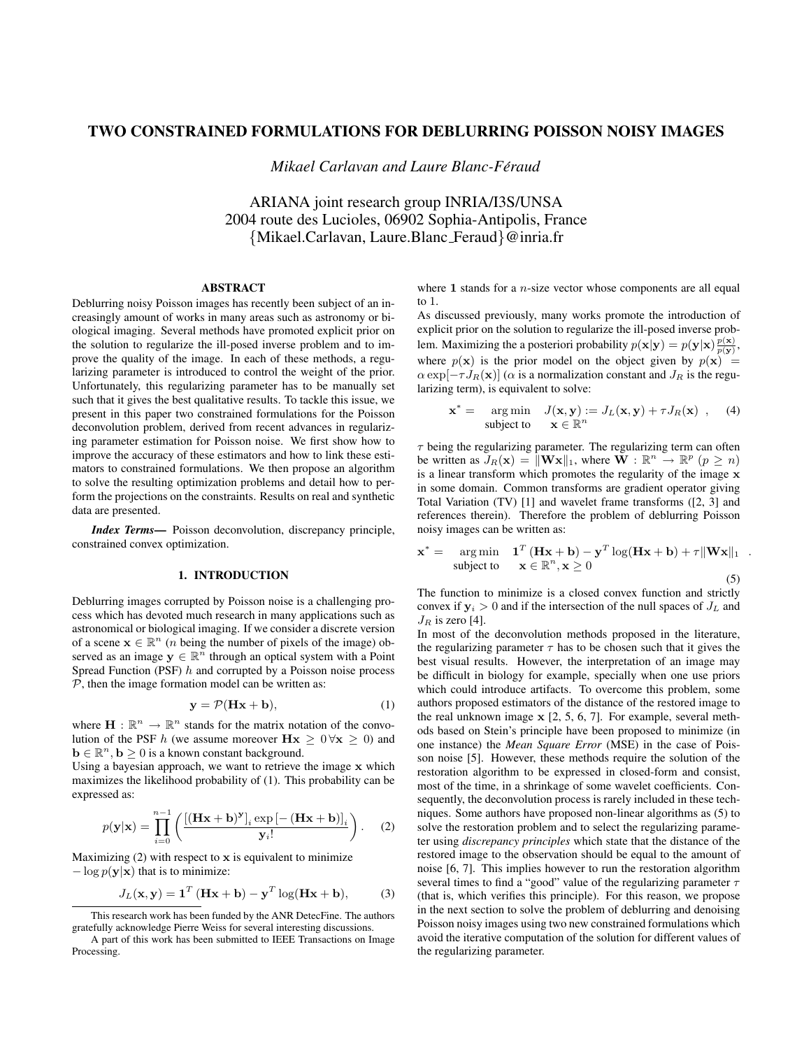# TWO CONSTRAINED FORMULATIONS FOR DEBLURRING POISSON NOISY IMAGES

*Mikael Carlavan and Laure Blanc-Feraud ´*

ARIANA joint research group INRIA/I3S/UNSA 2004 route des Lucioles, 06902 Sophia-Antipolis, France {Mikael.Carlavan, Laure.Blanc Feraud}@inria.fr

#### ABSTRACT

Deblurring noisy Poisson images has recently been subject of an increasingly amount of works in many areas such as astronomy or biological imaging. Several methods have promoted explicit prior on the solution to regularize the ill-posed inverse problem and to improve the quality of the image. In each of these methods, a regularizing parameter is introduced to control the weight of the prior. Unfortunately, this regularizing parameter has to be manually set such that it gives the best qualitative results. To tackle this issue, we present in this paper two constrained formulations for the Poisson deconvolution problem, derived from recent advances in regularizing parameter estimation for Poisson noise. We first show how to improve the accuracy of these estimators and how to link these estimators to constrained formulations. We then propose an algorithm to solve the resulting optimization problems and detail how to perform the projections on the constraints. Results on real and synthetic data are presented.

*Index Terms*— Poisson deconvolution, discrepancy principle, constrained convex optimization.

## 1. INTRODUCTION

Deblurring images corrupted by Poisson noise is a challenging process which has devoted much research in many applications such as astronomical or biological imaging. If we consider a discrete version of a scene  $\mathbf{x} \in \mathbb{R}^n$  (*n* being the number of pixels of the image) observed as an image  $y \in \mathbb{R}^n$  through an optical system with a Point Spread Function (PSF)  $h$  and corrupted by a Poisson noise process  $P$ , then the image formation model can be written as:

$$
y = P(Hx + b), \tag{1}
$$

where  $\mathbf{H} : \mathbb{R}^n \to \mathbb{R}^n$  stands for the matrix notation of the convolution of the PSF h (we assume moreover  $Hx \geq 0 \forall x \geq 0$ ) and  $\mathbf{b} \in \mathbb{R}^n$ ,  $\mathbf{b} \ge 0$  is a known constant background.

Using a bayesian approach, we want to retrieve the image x which maximizes the likelihood probability of (1). This probability can be expressed as:

$$
p(\mathbf{y}|\mathbf{x}) = \prod_{i=0}^{n-1} \left( \frac{\left[ (\mathbf{H}\mathbf{x} + \mathbf{b})^{\mathbf{y}} \right]_i \exp \left[ -(\mathbf{H}\mathbf{x} + \mathbf{b}) \right]_i}{\mathbf{y}_i!} \right). \tag{2}
$$

Maximizing  $(2)$  with respect to x is equivalent to minimize  $-\log p(\mathbf{y}|\mathbf{x})$  that is to minimize:

$$
J_L(\mathbf{x}, \mathbf{y}) = \mathbf{1}^T (\mathbf{H}\mathbf{x} + \mathbf{b}) - \mathbf{y}^T \log(\mathbf{H}\mathbf{x} + \mathbf{b}),
$$
 (3)

where 1 stands for a  $n$ -size vector whose components are all equal to 1.

As discussed previously, many works promote the introduction of explicit prior on the solution to regularize the ill-posed inverse problem. Maximizing the a posteriori probability  $p(\mathbf{x}|\mathbf{y}) = p(\mathbf{y}|\mathbf{x}) \frac{p(\mathbf{x})}{p(\mathbf{y})},$ where  $p(x)$  is the prior model on the object given by  $p(x) =$  $\alpha \exp[-\tau J_R(\mathbf{x})]$  ( $\alpha$  is a normalization constant and  $J_R$  is the regularizing term), is equivalent to solve:

$$
\mathbf{x}^* = \arg \min \quad J(\mathbf{x}, \mathbf{y}) := J_L(\mathbf{x}, \mathbf{y}) + \tau J_R(\mathbf{x}) \quad , \quad (4)
$$
\n
$$
\text{subject to} \quad \mathbf{x} \in \mathbb{R}^n
$$

 $\tau$  being the regularizing parameter. The regularizing term can often be written as  $J_R(\mathbf{x}) = \|\mathbf{W}\mathbf{x}\|_1$ , where  $\mathbf{W} : \mathbb{R}^n \to \mathbb{R}^p$   $(p \ge n)$ is a linear transform which promotes the regularity of the image x in some domain. Common transforms are gradient operator giving Total Variation (TV) [1] and wavelet frame transforms ([2, 3] and references therein). Therefore the problem of deblurring Poisson noisy images can be written as:

$$
\mathbf{x}^* = \arg\min_{\mathbf{x} \text{ subject to}} \mathbf{1}^T (\mathbf{H}\mathbf{x} + \mathbf{b}) - \mathbf{y}^T \log(\mathbf{H}\mathbf{x} + \mathbf{b}) + \tau \|\mathbf{W}\mathbf{x}\|_1
$$
  
subject to 
$$
\mathbf{x} \in \mathbb{R}^n, \mathbf{x} \ge 0
$$
 (5)

.

The function to minimize is a closed convex function and strictly convex if  $y_i > 0$  and if the intersection of the null spaces of  $J_L$  and  $J_R$  is zero [4].

In most of the deconvolution methods proposed in the literature, the regularizing parameter  $\tau$  has to be chosen such that it gives the best visual results. However, the interpretation of an image may be difficult in biology for example, specially when one use priors which could introduce artifacts. To overcome this problem, some authors proposed estimators of the distance of the restored image to the real unknown image x [2, 5, 6, 7]. For example, several methods based on Stein's principle have been proposed to minimize (in one instance) the *Mean Square Error* (MSE) in the case of Poisson noise [5]. However, these methods require the solution of the restoration algorithm to be expressed in closed-form and consist, most of the time, in a shrinkage of some wavelet coefficients. Consequently, the deconvolution process is rarely included in these techniques. Some authors have proposed non-linear algorithms as (5) to solve the restoration problem and to select the regularizing parameter using *discrepancy principles* which state that the distance of the restored image to the observation should be equal to the amount of noise [6, 7]. This implies however to run the restoration algorithm several times to find a "good" value of the regularizing parameter  $\tau$ (that is, which verifies this principle). For this reason, we propose in the next section to solve the problem of deblurring and denoising Poisson noisy images using two new constrained formulations which avoid the iterative computation of the solution for different values of the regularizing parameter.

This research work has been funded by the ANR DetecFine. The authors gratefully acknowledge Pierre Weiss for several interesting discussions.

A part of this work has been submitted to IEEE Transactions on Image Processing.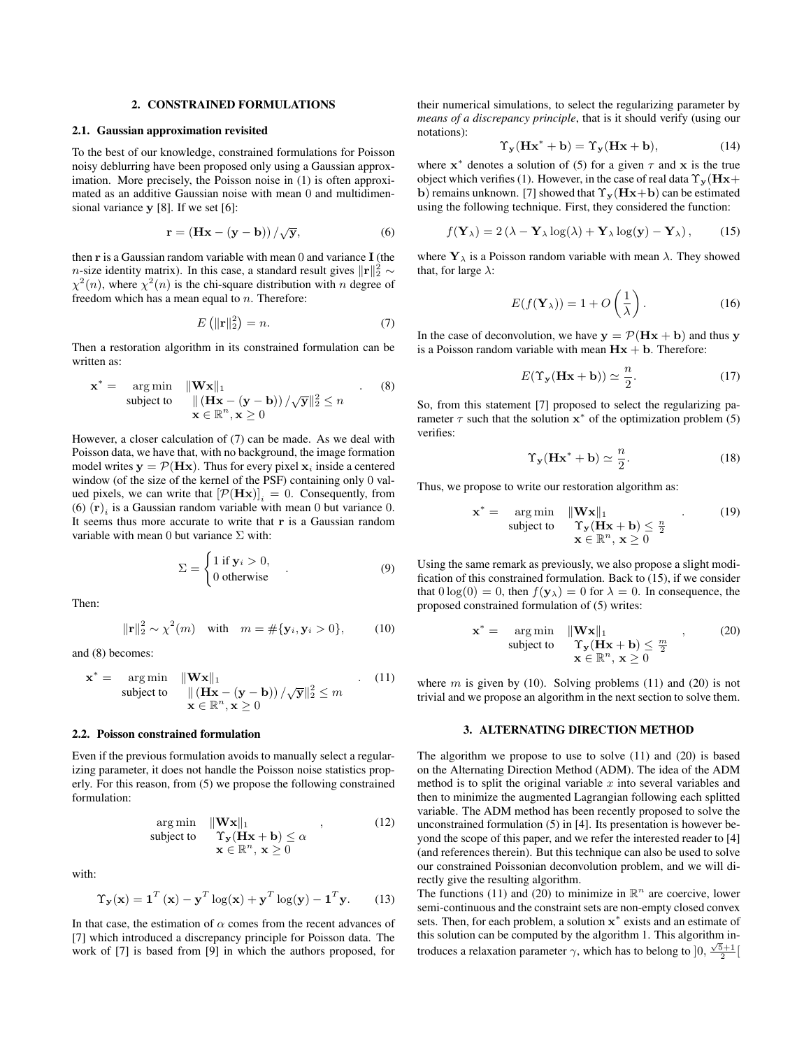#### 2. CONSTRAINED FORMULATIONS

#### 2.1. Gaussian approximation revisited

To the best of our knowledge, constrained formulations for Poisson noisy deblurring have been proposed only using a Gaussian approximation. More precisely, the Poisson noise in (1) is often approximated as an additive Gaussian noise with mean 0 and multidimensional variance y [8]. If we set [6]:

$$
\mathbf{r} = \left(\mathbf{H}\mathbf{x} - (\mathbf{y} - \mathbf{b})\right) / \sqrt{\mathbf{y}},\tag{6}
$$

then  $\bf{r}$  is a Gaussian random variable with mean 0 and variance  $\bf{I}$  (the n-size identity matrix). In this case, a standard result gives  $||\mathbf{r}||_2^2 \sim$  $\chi^2(n)$ , where  $\chi^2(n)$  is the chi-square distribution with n degree of freedom which has a mean equal to  $n$ . Therefore:

$$
E\left(\|\mathbf{r}\|_{2}^{2}\right) = n.\tag{7}
$$

Then a restoration algorithm in its constrained formulation can be written as:

$$
\mathbf{x}^* = \underset{\mathbf{x} \in \mathbb{R}^n, \mathbf{x} \ge 0}{\text{arg min}} \frac{\|\mathbf{W}\mathbf{x}\|_1}{\|(\mathbf{H}\mathbf{x} - (\mathbf{y} - \mathbf{b})) / \sqrt{\mathbf{y}}\|_2^2} \le n
$$
 (8)

However, a closer calculation of (7) can be made. As we deal with Poisson data, we have that, with no background, the image formation model writes  $y = P(Hx)$ . Thus for every pixel  $x_i$  inside a centered window (of the size of the kernel of the PSF) containing only 0 valued pixels, we can write that  $[\mathcal{P}(\mathbf{H} \mathbf{x})]_i = 0$ . Consequently, from (6)  $(\mathbf{r})_i$  is a Gaussian random variable with mean 0 but variance 0. It seems thus more accurate to write that r is a Gaussian random variable with mean 0 but variance  $\Sigma$  with:

$$
\Sigma = \begin{cases} 1 \text{ if } \mathbf{y}_i > 0, \\ 0 \text{ otherwise} \end{cases} \tag{9}
$$

Then:

$$
\|\mathbf{r}\|_{2}^{2} \sim \chi^{2}(m) \quad \text{with} \quad m = \#\{\mathbf{y}_{i}, \mathbf{y}_{i} > 0\}, \tag{10}
$$

and (8) becomes:

$$
\mathbf{x}^* = \underset{\mathbf{x} \in \mathbb{R}^n, \mathbf{x} \ge 0}{\text{arg min}} \frac{\|\mathbf{W}\mathbf{x}\|_1}{\|(\mathbf{H}\mathbf{x} - (\mathbf{y} - \mathbf{b})) / \sqrt{\mathbf{y}}\|_2^2} \le m \qquad (11)
$$

## 2.2. Poisson constrained formulation

Even if the previous formulation avoids to manually select a regularizing parameter, it does not handle the Poisson noise statistics properly. For this reason, from (5) we propose the following constrained formulation:

$$
\arg \min_{\mathbf{w}} \|\mathbf{W} \mathbf{x}\|_1 \qquad (12)
$$
\n
$$
\text{subject to} \quad \Upsilon_{\mathbf{y}}(\mathbf{H} \mathbf{x} + \mathbf{b}) \le \alpha \qquad (12)
$$
\n
$$
\mathbf{x} \in \mathbb{R}^n, \mathbf{x} \ge 0
$$

with:

$$
\Upsilon_{\mathbf{y}}(\mathbf{x}) = \mathbf{1}^T (\mathbf{x}) - \mathbf{y}^T \log(\mathbf{x}) + \mathbf{y}^T \log(\mathbf{y}) - \mathbf{1}^T \mathbf{y}.
$$
 (13)

In that case, the estimation of  $\alpha$  comes from the recent advances of [7] which introduced a discrepancy principle for Poisson data. The work of [7] is based from [9] in which the authors proposed, for

their numerical simulations, to select the regularizing parameter by *means of a discrepancy principle*, that is it should verify (using our notations):

$$
\Upsilon_{\mathbf{y}}(\mathbf{H}\mathbf{x}^* + \mathbf{b}) = \Upsilon_{\mathbf{y}}(\mathbf{H}\mathbf{x} + \mathbf{b}),\tag{14}
$$

where  $x^*$  denotes a solution of (5) for a given  $\tau$  and  $x$  is the true object which verifies (1). However, in the case of real data  $\Upsilon_{y}(Hx+$ b) remains unknown. [7] showed that  $\Upsilon_{\mathbf{y}}(\mathbf{H}\mathbf{x}+\mathbf{b})$  can be estimated using the following technique. First, they considered the function:

$$
f(\mathbf{Y}_{\lambda}) = 2(\lambda - \mathbf{Y}_{\lambda} \log(\lambda) + \mathbf{Y}_{\lambda} \log(\mathbf{y}) - \mathbf{Y}_{\lambda}), \quad (15)
$$

where  $Y_{\lambda}$  is a Poisson random variable with mean  $\lambda$ . They showed that, for large  $\lambda$ :

$$
E(f(\mathbf{Y}_{\lambda})) = 1 + O\left(\frac{1}{\lambda}\right). \tag{16}
$$

In the case of deconvolution, we have  $y = P(Hx + b)$  and thus y is a Poisson random variable with mean  $Hx + b$ . Therefore:

$$
E(\Upsilon_{\mathbf{y}}(\mathbf{H}\mathbf{x} + \mathbf{b})) \simeq \frac{n}{2}.
$$
 (17)

So, from this statement [7] proposed to select the regularizing parameter  $\tau$  such that the solution  $x^*$  of the optimization problem (5) verifies:

$$
\Upsilon_{\mathbf{y}}(\mathbf{H}\mathbf{x}^* + \mathbf{b}) \simeq \frac{n}{2}.
$$
 (18)

Thus, we propose to write our restoration algorithm as:

$$
\mathbf{x}^* = \underset{\mathbf{x} \in \mathbb{R}^n, \mathbf{x} \ge 0}{\text{arg min}} \frac{\|\mathbf{W}\mathbf{x}\|_1}{\Upsilon_{\mathbf{y}}(\mathbf{H}\mathbf{x} + \mathbf{b})} \le \frac{n}{2}
$$
(19)

Using the same remark as previously, we also propose a slight modification of this constrained formulation. Back to (15), if we consider that  $0 \log(0) = 0$ , then  $f(\mathbf{y}_{\lambda}) = 0$  for  $\lambda = 0$ . In consequence, the proposed constrained formulation of (5) writes:

$$
\mathbf{x}^* = \underset{\mathbf{x} \in \mathbb{R}^n, \mathbf{x} \ge 0}{\text{arg min}} \frac{\|\mathbf{W}\mathbf{x}\|_1}{\Upsilon_{\mathbf{y}}(\mathbf{H}\mathbf{x} + \mathbf{b})} \le \frac{m}{2}
$$
(20)

where  $m$  is given by (10). Solving problems (11) and (20) is not trivial and we propose an algorithm in the next section to solve them.

### 3. ALTERNATING DIRECTION METHOD

The algorithm we propose to use to solve (11) and (20) is based on the Alternating Direction Method (ADM). The idea of the ADM method is to split the original variable  $x$  into several variables and then to minimize the augmented Lagrangian following each splitted variable. The ADM method has been recently proposed to solve the unconstrained formulation (5) in [4]. Its presentation is however beyond the scope of this paper, and we refer the interested reader to [4] (and references therein). But this technique can also be used to solve our constrained Poissonian deconvolution problem, and we will directly give the resulting algorithm.

The functions (11) and (20) to minimize in  $\mathbb{R}^n$  are coercive, lower semi-continuous and the constraint sets are non-empty closed convex sets. Then, for each problem, a solution  $x^*$  exists and an estimate of this solution can be computed by the algorithm 1. This algorithm introduces a relaxation parameter  $\gamma$ , which has to belong to  $]0, \frac{\sqrt{5}+1}{2}$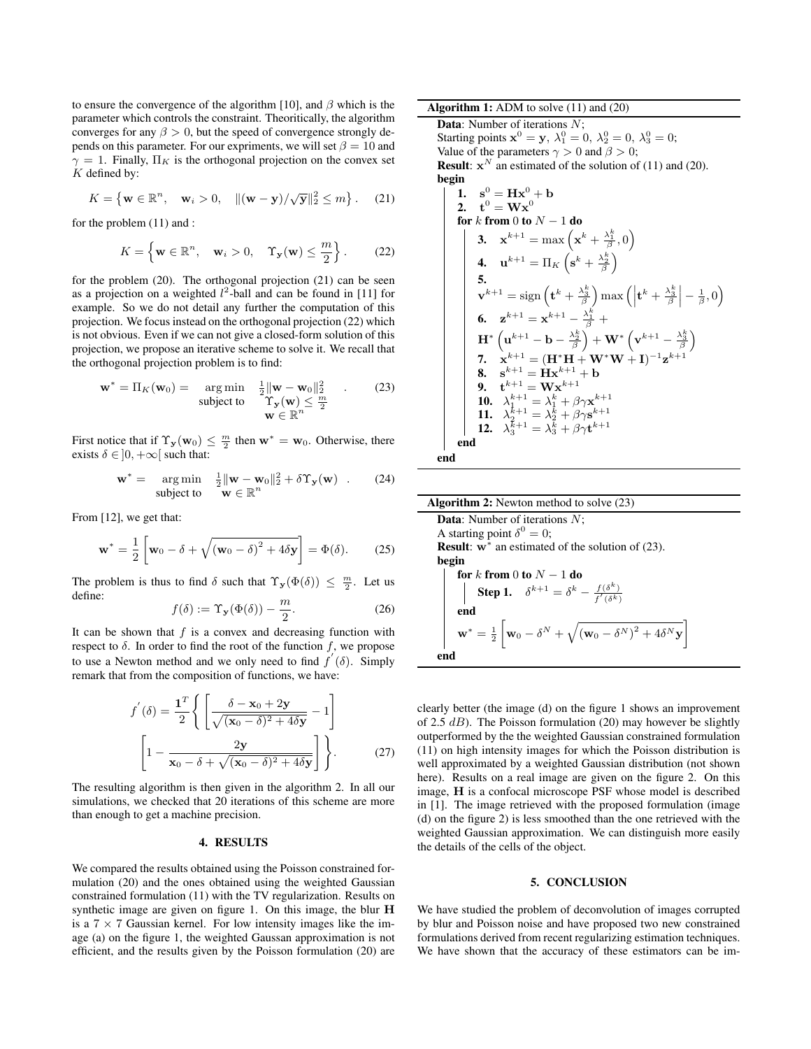to ensure the convergence of the algorithm [10], and  $\beta$  which is the parameter which controls the constraint. Theoritically, the algorithm converges for any  $\beta > 0$ , but the speed of convergence strongly depends on this parameter. For our expriments, we will set  $\beta = 10$  and  $\gamma = 1$ . Finally,  $\Pi_K$  is the orthogonal projection on the convex set  $K$  defined by:

$$
K = \left\{ \mathbf{w} \in \mathbb{R}^n, \quad \mathbf{w}_i > 0, \quad \|(\mathbf{w} - \mathbf{y}) / \sqrt{\mathbf{y}}\|_2^2 \le m \right\}. \tag{21}
$$

for the problem (11) and :

$$
K = \left\{ \mathbf{w} \in \mathbb{R}^n, \quad \mathbf{w}_i > 0, \quad \Upsilon_{\mathbf{y}}(\mathbf{w}) \le \frac{m}{2} \right\}. \tag{22}
$$

for the problem (20). The orthogonal projection (21) can be seen as a projection on a weighted  $l^2$ -ball and can be found in [11] for example. So we do not detail any further the computation of this projection. We focus instead on the orthogonal projection (22) which is not obvious. Even if we can not give a closed-form solution of this projection, we propose an iterative scheme to solve it. We recall that the orthogonal projection problem is to find:

$$
\mathbf{w}^* = \Pi_K(\mathbf{w}_0) = \mathop{\arg\min}_{\text{subject to}} \frac{\frac{1}{2} \|\mathbf{w} - \mathbf{w}_0\|_2^2}{\Upsilon_{\mathbf{y}}(\mathbf{w}) \le \frac{m}{2}} \quad . \tag{23}
$$

$$
\mathbf{w} \in \mathbb{R}^n
$$

First notice that if  $\Upsilon_{\mathbf{y}}(\mathbf{w}_0) \leq \frac{m}{2}$  then  $\mathbf{w}^* = \mathbf{w}_0$ . Otherwise, there exists  $\delta \in ]0, +\infty[$  such that:

$$
\mathbf{w}^* = \underset{\text{subject to}}{\arg \min} \quad \frac{1}{2} \|\mathbf{w} - \mathbf{w}_0\|_2^2 + \delta \Upsilon_{\mathbf{y}}(\mathbf{w}) \quad . \tag{24}
$$

From [12], we get that:

$$
\mathbf{w}^* = \frac{1}{2} \left[ \mathbf{w}_0 - \delta + \sqrt{(\mathbf{w}_0 - \delta)^2 + 4\delta \mathbf{y}} \right] = \Phi(\delta). \tag{25}
$$

The problem is thus to find  $\delta$  such that  $\Upsilon_{\mathbf{y}}(\Phi(\delta)) \leq \frac{m}{2}$ . Let us define:

$$
f(\delta) := \Upsilon_{\mathbf{y}}(\Phi(\delta)) - \frac{m}{2}.
$$
 (26)

It can be shown that  $f$  is a convex and decreasing function with respect to  $\delta$ . In order to find the root of the function f, we propose to use a Newton method and we only need to find  $f'(\delta)$ . Simply remark that from the composition of functions, we have:

$$
f'(\delta) = \frac{\mathbf{1}^T}{2} \Bigg\{ \left[ \frac{\delta - \mathbf{x}_0 + 2\mathbf{y}}{\sqrt{(\mathbf{x}_0 - \delta)^2 + 4\delta \mathbf{y}}} - 1 \right] \Bigg\}.
$$
\n
$$
\left[ 1 - \frac{2\mathbf{y}}{\mathbf{x}_0 - \delta + \sqrt{(\mathbf{x}_0 - \delta)^2 + 4\delta \mathbf{y}}} \right] \Bigg\}.
$$
\n(27)

The resulting algorithm is then given in the algorithm 2. In all our simulations, we checked that 20 iterations of this scheme are more than enough to get a machine precision.

### 4. RESULTS

We compared the results obtained using the Poisson constrained formulation (20) and the ones obtained using the weighted Gaussian constrained formulation (11) with the TV regularization. Results on synthetic image are given on figure 1. On this image, the blur H is a  $7 \times 7$  Gaussian kernel. For low intensity images like the image (a) on the figure 1, the weighted Gaussan approximation is not efficient, and the results given by the Poisson formulation (20) are

Data: Number of iterations N; Starting points  $\mathbf{x}^0 = \mathbf{y}$ ,  $\lambda_1^0 = 0$ ,  $\lambda_2^0 = 0$ ,  $\lambda_3^0 = 0$ ; Value of the parameters  $\gamma > 0$  and  $\beta > 0$ ; **Result:**  $x^N$  an estimated of the solution of (11) and (20). begin

1. 
$$
s^0 = Hx^0 + b
$$
  
\n2.  $t^0 = Wx^0$   
\nfor *k* from 0 to *N* – 1 do  
\n3.  $x^{k+1} = max (x^k + \frac{\lambda_1^k}{\beta}, 0)$   
\n4.  $u^{k+1} = \Pi_K (s^k + \frac{\lambda_2^k}{\beta})$   
\n5.  $v^{k+1} = sign (t^k + \frac{\lambda_3^k}{\beta}) max (|t^k + \frac{\lambda_3^k}{\beta}| - \frac{1}{\beta}, 0)$   
\n6.  $z^{k+1} = x^{k+1} - \frac{\lambda_1^k}{\beta} + H^* (u^{k+1} - b - \frac{\lambda_2^k}{\beta}) + W^* (v^{k+1} - \frac{\lambda_3^k}{\beta})$   
\n7.  $x^{k+1} = (H^*H + W^*W + I)^{-1}z^{k+1}$   
\n8.  $s^{k+1} = Hx^{k+1} + b$   
\n9.  $t^{k+1} = Wx^{k+1}$   
\n10.  $\lambda_1^{k+1} = \lambda_1^k + \beta \gamma x^{k+1}$   
\n11.  $\lambda_2^{k+1} = \lambda_2^k + \beta \gamma s^{k+1}$   
\n12.  $\lambda_3^{k+1} = \lambda_3^k + \beta \gamma t^{k+1}$   
\nend  
\nend

| <b>Algorithm 2:</b> Newton method to solve $(23)$                                                                                                                                                                  |
|--------------------------------------------------------------------------------------------------------------------------------------------------------------------------------------------------------------------|
| <b>Data:</b> Number of iterations $N$ ;                                                                                                                                                                            |
| A starting point $\delta^0 = 0$ ;                                                                                                                                                                                  |
| <b>Result:</b> $w^*$ an estimated of the solution of (23).                                                                                                                                                         |
| begin                                                                                                                                                                                                              |
|                                                                                                                                                                                                                    |
| $\begin{array}{ c c } \hline \textbf{for} \; k \; \textbf{from} \; 0 \; \textbf{to} \; N-1 \; \textbf{do} \\ \hline \textbf{Step 1.} \quad \delta^{k+1} = \delta^k - \frac{f(\delta^k)}{f'(\delta^k)} \end{array}$ |
| end                                                                                                                                                                                                                |
| $\mathbf{w}^* = \frac{1}{2} \left[ \mathbf{w}_0 - \delta^N + \sqrt{(\mathbf{w}_0 - \delta^N)^2 + 4\delta^N} \mathbf{y} \right]$                                                                                    |
| end                                                                                                                                                                                                                |

clearly better (the image (d) on the figure 1 shows an improvement of 2.5  $dB$ ). The Poisson formulation (20) may however be slightly outperformed by the the weighted Gaussian constrained formulation (11) on high intensity images for which the Poisson distribution is well approximated by a weighted Gaussian distribution (not shown here). Results on a real image are given on the figure 2. On this image, H is a confocal microscope PSF whose model is described in [1]. The image retrieved with the proposed formulation (image (d) on the figure 2) is less smoothed than the one retrieved with the weighted Gaussian approximation. We can distinguish more easily the details of the cells of the object.

## 5. CONCLUSION

We have studied the problem of deconvolution of images corrupted by blur and Poisson noise and have proposed two new constrained formulations derived from recent regularizing estimation techniques. We have shown that the accuracy of these estimators can be im-